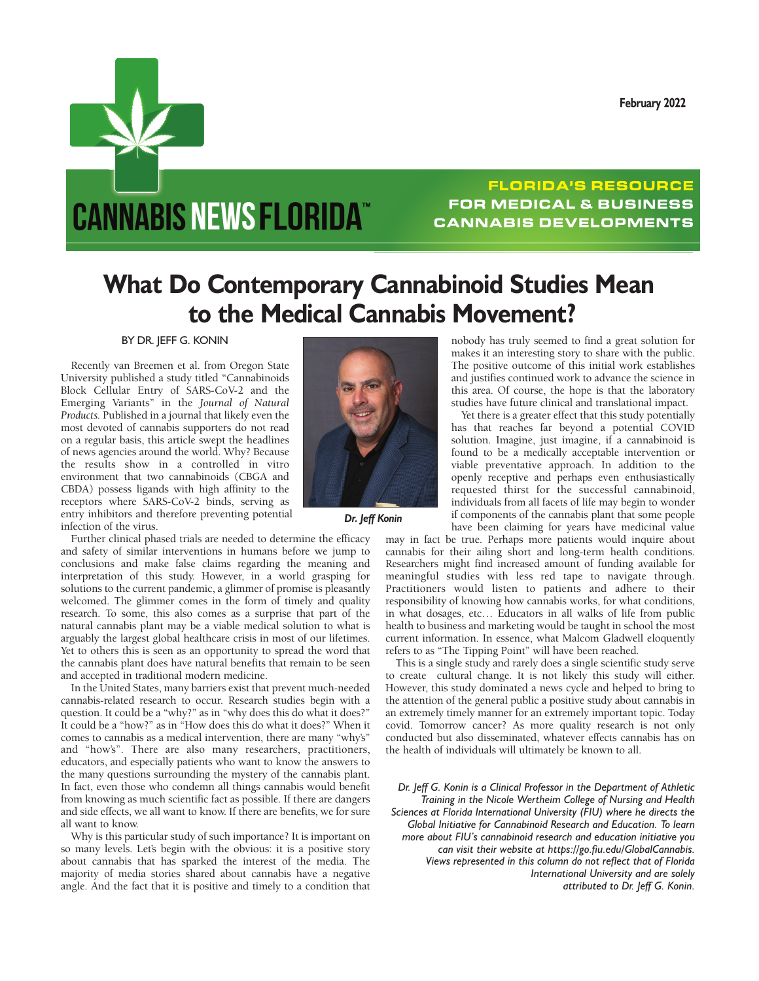**February 2022**

## **CANNABIS NEWS FLORIDA™**

## **FLORIDA'S RESOURCE FOR MEDICAL & BUSINESS CANNABIS DEVELOPMENTS**

## **What Do Contemporary Cannabinoid Studies Mean to the Medical Cannabis Movement?**

BY DR. JEFF G. KONIN

Recently van Breemen et al. from Oregon State University published a study titled "Cannabinoids Block Cellular Entry of SARS-CoV-2 and the Emerging Variants" in the *Journal of Natural Products.* Published in a journal that likely even the most devoted of cannabis supporters do not read on a regular basis, this article swept the headlines of news agencies around the world. Why? Because the results show in a controlled in vitro environment that two cannabinoids (CBGA and CBDA) possess ligands with high affinity to the receptors where SARS-CoV-2 binds, serving as entry inhibitors and therefore preventing potential infection of the virus.

Further clinical phased trials are needed to determine the efficacy and safety of similar interventions in humans before we jump to conclusions and make false claims regarding the meaning and interpretation of this study. However, in a world grasping for solutions to the current pandemic, a glimmer of promise is pleasantly welcomed. The glimmer comes in the form of timely and quality research. To some, this also comes as a surprise that part of the natural cannabis plant may be a viable medical solution to what is arguably the largest global healthcare crisis in most of our lifetimes. Yet to others this is seen as an opportunity to spread the word that the cannabis plant does have natural benefits that remain to be seen and accepted in traditional modern medicine.

In the United States, many barriers exist that prevent much-needed cannabis-related research to occur. Research studies begin with a question. It could be a "why?" as in "why does this do what it does?" It could be a "how?" as in "How does this do what it does?" When it comes to cannabis as a medical intervention, there are many "why's" and "how's". There are also many researchers, practitioners, educators, and especially patients who want to know the answers to the many questions surrounding the mystery of the cannabis plant. In fact, even those who condemn all things cannabis would benefit from knowing as much scientific fact as possible. If there are dangers and side effects, we all want to know. If there are benefits, we for sure all want to know.

Why is this particular study of such importance? It is important on so many levels. Let's begin with the obvious: it is a positive story about cannabis that has sparked the interest of the media. The majority of media stories shared about cannabis have a negative angle. And the fact that it is positive and timely to a condition that



 *Dr. Jeff Konin*

nobody has truly seemed to find a great solution for makes it an interesting story to share with the public. The positive outcome of this initial work establishes and justifies continued work to advance the science in this area. Of course, the hope is that the laboratory studies have future clinical and translational impact.

Yet there is a greater effect that this study potentially has that reaches far beyond a potential COVID solution. Imagine, just imagine, if a cannabinoid is found to be a medically acceptable intervention or viable preventative approach. In addition to the openly receptive and perhaps even enthusiastically requested thirst for the successful cannabinoid, individuals from all facets of life may begin to wonder if components of the cannabis plant that some people have been claiming for years have medicinal value

may in fact be true. Perhaps more patients would inquire about cannabis for their ailing short and long-term health conditions. Researchers might find increased amount of funding available for meaningful studies with less red tape to navigate through. Practitioners would listen to patients and adhere to their responsibility of knowing how cannabis works, for what conditions, in what dosages, etc… Educators in all walks of life from public health to business and marketing would be taught in school the most current information. In essence, what Malcom Gladwell eloquently refers to as "The Tipping Point" will have been reached.

This is a single study and rarely does a single scientific study serve to create cultural change. It is not likely this study will either. However, this study dominated a news cycle and helped to bring to the attention of the general public a positive study about cannabis in an extremely timely manner for an extremely important topic. Today covid. Tomorrow cancer? As more quality research is not only conducted but also disseminated, whatever effects cannabis has on the health of individuals will ultimately be known to all.

*Dr. Jeff G. Konin is a Clinical Professor in the Department of Athletic Training in the Nicole Wertheim College of Nursing and Health Sciences at Florida International University (FIU) where he directs the Global Initiative for Cannabinoid Research and Education. To learn more about FIU's cannabinoid research and education initiative you can visit their website at https://go.fiu.edu/GlobalCannabis. Views represented in this column do not reflect that of Florida International University and are solely attributed to Dr. Jeff G. Konin.*